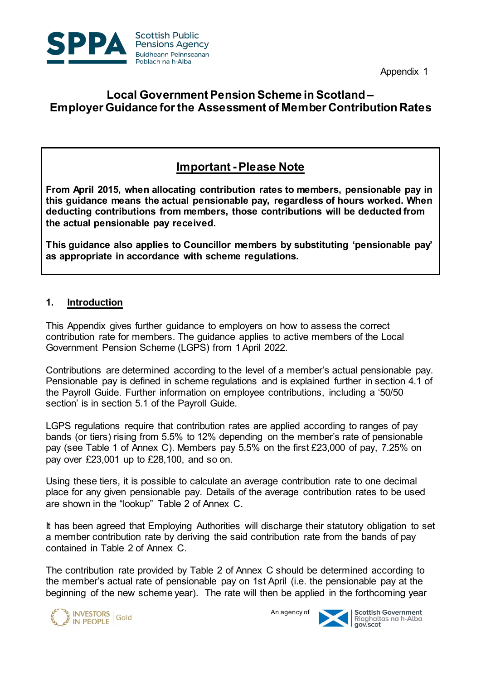

Appendix 1

# **Local Government Pension Scheme in Scotland – Employer Guidance for the Assessment of Member Contribution Rates**

# **Important - Please Note**

 **this guidance means the actual pensionable pay, regardless of hours worked. When deducting contributions from members, those contributions will be deducted from From April 2015, when allocating contribution rates to members, pensionable pay in the actual pensionable pay received.** 

 **This guidance also applies to Councillor members by substituting 'pensionable pay' as appropriate in accordance with scheme regulations.** 

#### **1. Introduction**

 This Appendix gives further guidance to employers on how to assess the correct contribution rate for members. The guidance applies to active members of the Local Government Pension Scheme (LGPS) from 1 April 2022.

 section' is in section 5.1 of the Payroll Guide. Contributions are determined according to the level of a member's actual pensionable pay. Pensionable pay is defined in scheme regulations and is explained further in section 4.1 of the Payroll Guide. Further information on employee contributions, including a '50/50

 LGPS regulations require that contribution rates are applied according to ranges of pay bands (or tiers) rising from 5.5% to 12% depending on the member's rate of pensionable pay (see Table 1 of Annex C). Members pay 5.5% on the first £23,000 of pay, 7.25% on pay over £23,001 up to £28,100, and so on.

 Using these tiers, it is possible to calculate an average contribution rate to one decimal place for any given pensionable pay. Details of the average contribution rates to be used are shown in the "lookup" Table 2 of Annex C.

 It has been agreed that Employing Authorities will discharge their statutory obligation to set a member contribution rate by deriving the said contribution rate from the bands of pay contained in Table 2 of Annex C.

 The contribution rate provided by Table 2 of Annex C should be determined according to the member's actual rate of pensionable pay on 1st April (i.e. the pensionable pay at the beginning of the new scheme year). The rate will then be applied in the forthcoming year



An agency of

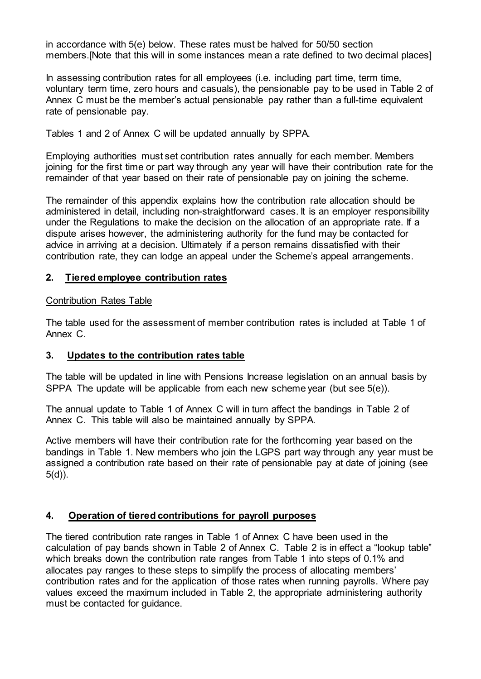in accordance with 5(e) below. These rates must be halved for 50/50 section members.[Note that this will in some instances mean a rate defined to two decimal places]

 In assessing contribution rates for all employees (i.e. including part time, term time, voluntary term time, zero hours and casuals), the pensionable pay to be used in Table 2 of Annex C must be the member's actual pensionable pay rather than a full-time equivalent rate of pensionable pay.

Tables 1 and 2 of Annex C will be updated annually by SPPA.

 joining for the first time or part way through any year will have their contribution rate for the remainder of that year based on their rate of pensionable pay on joining the scheme. Employing authorities must set contribution rates annually for each member. Members

 The remainder of this appendix explains how the contribution rate allocation should be administered in detail, including non-straightforward cases. It is an employer responsibility under the Regulations to make the decision on the allocation of an appropriate rate. If a dispute arises however, the administering authority for the fund may be contacted for advice in arriving at a decision. Ultimately if a person remains dissatisfied with their contribution rate, they can lodge an appeal under the Scheme's appeal arrangements.

#### **2. Tiered employee contribution rates**

#### Contribution Rates Table

 The table used for the assessment of member contribution rates is included at Table 1 of Annex C.

#### **3. Updates to the contribution rates table**

 The table will be updated in line with Pensions Increase legislation on an annual basis by SPPA The update will be applicable from each new scheme year (but see 5(e)).

 The annual update to Table 1 of Annex C will in turn affect the bandings in Table 2 of Annex C. This table will also be maintained annually by SPPA.

 Active members will have their contribution rate for the forthcoming year based on the bandings in Table 1. New members who join the LGPS part way through any year must be assigned a contribution rate based on their rate of pensionable pay at date of joining (see 5(d)).

#### **4. Operation of tiered contributions for payroll purposes**

 The tiered contribution rate ranges in Table 1 of Annex C have been used in the calculation of pay bands shown in Table 2 of Annex C. Table 2 is in effect a "lookup table" which breaks down the contribution rate ranges from Table 1 into steps of 0.1% and allocates pay ranges to these steps to simplify the process of allocating members' contribution rates and for the application of those rates when running payrolls. Where pay values exceed the maximum included in Table 2, the appropriate administering authority must be contacted for guidance.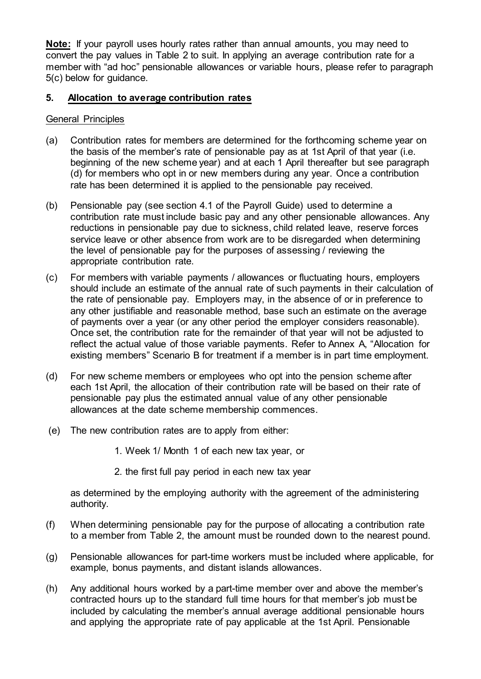**Note:** If your payroll uses hourly rates rather than annual amounts, you may need to convert the pay values in Table 2 to suit. In applying an average contribution rate for a 5(c) below for guidance. member with "ad hoc" pensionable allowances or variable hours, please refer to paragraph

#### **5. Allocation to average contribution rates**

#### General Principles

- (a) Contribution rates for members are determined for the forthcoming scheme year on the basis of the member's rate of pensionable pay as at 1st April of that year (i.e. beginning of the new scheme year) and at each 1 April thereafter but see paragraph (d) for members who opt in or new members during any year. Once a contribution rate has been determined it is applied to the pensionable pay received.
- (b) Pensionable pay (see section 4.1 of the Payroll Guide) used to determine a contribution rate must include basic pay and any other pensionable allowances. Any service leave or other absence from work are to be disregarded when determining the level of pensionable pay for the purposes of assessing / reviewing the reductions in pensionable pay due to sickness, child related leave, reserve forces appropriate contribution rate.
- (c) For members with variable payments / allowances or fluctuating hours, employers should include an estimate of the annual rate of such payments in their calculation of the rate of pensionable pay. Employers may, in the absence of or in preference to any other justifiable and reasonable method, base such an estimate on the average of payments over a year (or any other period the employer considers reasonable). Once set, the contribution rate for the remainder of that year will not be adjusted to reflect the actual value of those variable payments. Refer to Annex A, "Allocation for existing members" Scenario B for treatment if a member is in part time employment.
- (d) For new scheme members or employees who opt into the pension scheme after each 1st April, the allocation of their contribution rate will be based on their rate of pensionable pay plus the estimated annual value of any other pensionable allowances at the date scheme membership commences.
- (e) The new contribution rates are to apply from either:
	- 1. Week 1/ Month 1 of each new tax year, or
	- 2. the first full pay period in each new tax year

 as determined by the employing authority with the agreement of the administering authority.

- authority.<br>(f) When determining pensionable pay for the purpose of allocating a contribution rate to a member from Table 2, the amount must be rounded down to the nearest pound.
- (g) Pensionable allowances for part-time workers must be included where applicable, for example, bonus payments, and distant islands allowances.
- (h) Any additional hours worked by a part-time member over and above the member's and applying the appropriate rate of pay applicable at the 1st April. Pensionable contracted hours up to the standard full time hours for that member's job must be included by calculating the member's annual average additional pensionable hours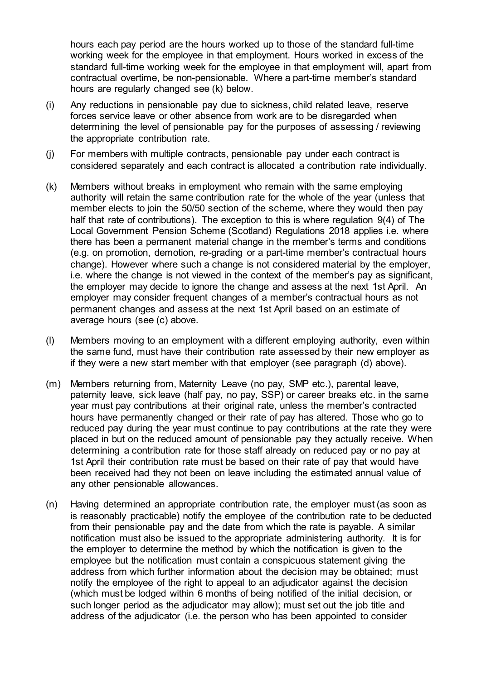hours each pay period are the hours worked up to those of the standard full-time working week for the employee in that employment. Hours worked in excess of the standard full-time working week for the employee in that employment will, apart from contractual overtime, be non-pensionable. Where a part-time member's standard hours are regularly changed see (k) below.

- hours are regularly changed see (k) below. (i) Any reductions in pensionable pay due to sickness, child related leave, reserve forces service leave or other absence from work are to be disregarded when determining the level of pensionable pay for the purposes of assessing / reviewing the appropriate contribution rate.
- (j) For members with multiple contracts, pensionable pay under each contract is considered separately and each contract is allocated a contribution rate individually.
- authority will retain the same contribution rate for the whole of the year (unless that member elects to join the 50/50 section of the scheme, where they would then pay half that rate of contributions). The exception to this is where regulation 9(4) of The there has been a permanent material change in the member's terms and conditions i.e. where the change is not viewed in the context of the member's pay as significant, the employer may decide to ignore the change and assess at the next 1st April. An employer may consider frequent changes of a member's contractual hours as not permanent changes and assess at the next 1st April based on an estimate of (k) Members without breaks in employment who remain with the same employing Local Government Pension Scheme (Scotland) Regulations 2018 applies i.e. where (e.g. on promotion, demotion, re-grading or a part-time member's contractual hours change). However where such a change is not considered material by the employer, average hours (see (c) above.
- the same fund, must have their contribution rate assessed by their new employer as if they were a new start member with that employer (see paragraph (d) above). (l) Members moving to an employment with a different employing authority, even within
- (m) Members returning from, Maternity Leave (no pay, SMP etc.), parental leave, paternity leave, sick leave (half pay, no pay, SSP) or career breaks etc. in the same year must pay contributions at their original rate, unless the member's contracted hours have permanently changed or their rate of pay has altered. Those who go to reduced pay during the year must continue to pay contributions at the rate they were placed in but on the reduced amount of pensionable pay they actually receive. When determining a contribution rate for those staff already on reduced pay or no pay at 1st April their contribution rate must be based on their rate of pay that would have been received had they not been on leave including the estimated annual value of any other pensionable allowances.
- (n) Having determined an appropriate contribution rate, the employer must (as soon as is reasonably practicable) notify the employee of the contribution rate to be deducted from their pensionable pay and the date from which the rate is payable. A similar notification must also be issued to the appropriate administering authority. It is for employee but the notification must contain a conspicuous statement giving the address from which further information about the decision may be obtained; must notify the employee of the right to appeal to an adjudicator against the decision (which must be lodged within 6 months of being notified of the initial decision, or such longer period as the adjudicator may allow); must set out the job title and address of the adjudicator (i.e. the person who has been appointed to consider the employer to determine the method by which the notification is given to the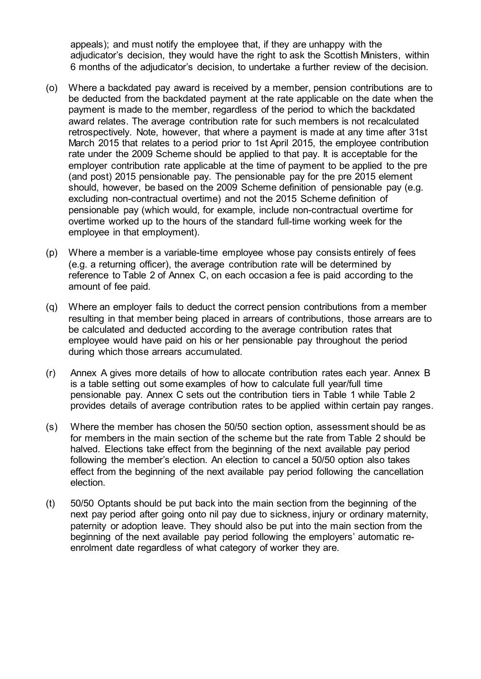appeals); and must notify the employee that, if they are unhappy with the adjudicator's decision, they would have the right to ask the Scottish Ministers, within 6 months of the adjudicator's decision, to undertake a further review of the decision.

- (o) Where a backdated pay award is received by a member, pension contributions are to be deducted from the backdated payment at the rate applicable on the date when the payment is made to the member, regardless of the period to which the backdated award relates. The average contribution rate for such members is not recalculated retrospectively. Note, however, that where a payment is made at any time after 31st March 2015 that relates to a period prior to 1st April 2015, the employee contribution rate under the 2009 Scheme should be applied to that pay. It is acceptable for the employer contribution rate applicable at the time of payment to be applied to the pre (and post) 2015 pensionable pay. The pensionable pay for the pre 2015 element should, however, be based on the 2009 Scheme definition of pensionable pay (e.g. excluding non-contractual overtime) and not the 2015 Scheme definition of overtime worked up to the hours of the standard full-time working week for the pensionable pay (which would, for example, include non-contractual overtime for employee in that employment).
- (p) Where a member is a variable-time employee whose pay consists entirely of fees reference to Table 2 of Annex C, on each occasion a fee is paid according to the amount of fee paid. (e.g. a returning officer), the average contribution rate will be determined by
- (q) Where an employer fails to deduct the correct pension contributions from a member resulting in that member being placed in arrears of contributions, those arrears are to be calculated and deducted according to the average contribution rates that employee would have paid on his or her pensionable pay throughout the period during which those arrears accumulated.
- (r) Annex A gives more details of how to allocate contribution rates each year. Annex B is a table setting out some examples of how to calculate full year/full time pensionable pay. Annex C sets out the contribution tiers in Table 1 while Table 2 provides details of average contribution rates to be applied within certain pay ranges.
- halved. Elections take effect from the beginning of the next available pay period effect from the beginning of the next available pay period following the cancellation (s) Where the member has chosen the 50/50 section option, assessment should be as for members in the main section of the scheme but the rate from Table 2 should be following the member's election. An election to cancel a 50/50 option also takes election.
- (t) 50/50 Optants should be put back into the main section from the beginning of the next pay period after going onto nil pay due to sickness, injury or ordinary maternity, beginning of the next available pay period following the employers' automatic re- enrolment date regardless of what category of worker they are. paternity or adoption leave. They should also be put into the main section from the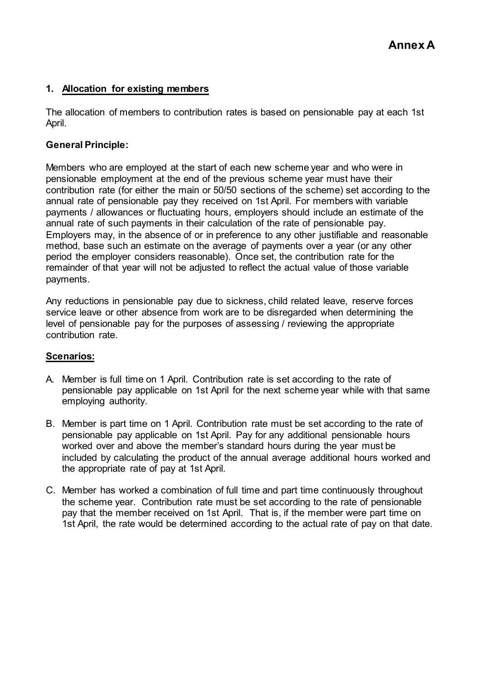#### **1. Allocation for existing members**

 The allocation of members to contribution rates is based on pensionable pay at each 1st April.

#### **General Principle:**

 Members who are employed at the start of each new scheme year and who were in pensionable employment at the end of the previous scheme year must have their contribution rate (for either the main or 50/50 sections of the scheme) set according to the annual rate of pensionable pay they received on 1st April. For members with variable payments / allowances or fluctuating hours, employers should include an estimate of the annual rate of such payments in their calculation of the rate of pensionable pay. Employers may, in the absence of or in preference to any other justifiable and reasonable method, base such an estimate on the average of payments over a year (or any other remainder of that year will not be adjusted to reflect the actual value of those variable period the employer considers reasonable). Once set, the contribution rate for the payments.

 Any reductions in pensionable pay due to sickness, child related leave, reserve forces service leave or other absence from work are to be disregarded when determining the level of pensionable pay for the purposes of assessing / reviewing the appropriate contribution rate.

## **Scenarios:**

- A. Member is full time on 1 April. Contribution rate is set according to the rate of pensionable pay applicable on 1st April for the next scheme year while with that same employing authority.
- B. Member is part time on 1 April. Contribution rate must be set according to the rate of pensionable pay applicable on 1st April. Pay for any additional pensionable hours included by calculating the product of the annual average additional hours worked and the appropriate rate of pay at 1st April. worked over and above the member's standard hours during the year must be
- C. Member has worked a combination of full time and part time continuously throughout the scheme year. Contribution rate must be set according to the rate of pensionable pay that the member received on 1st April. That is, if the member were part time on 1st April, the rate would be determined according to the actual rate of pay on that date.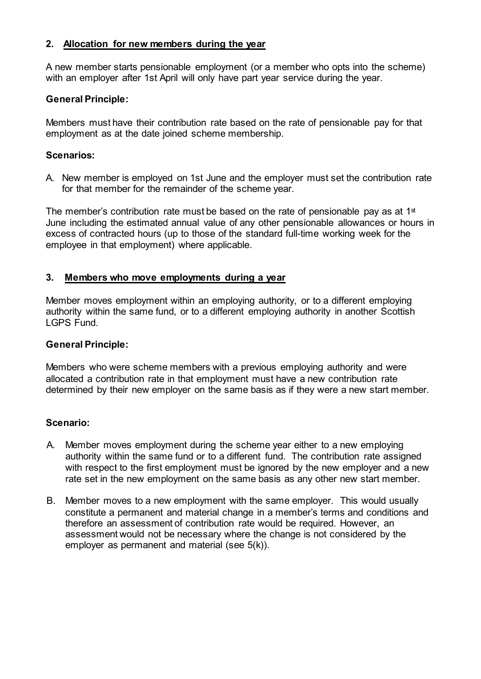#### **2. Allocation for new members during the year**

 A new member starts pensionable employment (or a member who opts into the scheme) with an employer after 1st April will only have part year service during the year.

#### **General Principle:**

 Members must have their contribution rate based on the rate of pensionable pay for that employment as at the date joined scheme membership.

#### **Scenarios:**

 A. New member is employed on 1st June and the employer must set the contribution rate for that member for the remainder of the scheme year.

The member's contribution rate must be based on the rate of pensionable <code>pay</code> as at 1 $^{\rm st}$  June including the estimated annual value of any other pensionable allowances or hours in excess of contracted hours (up to those of the standard full-time working week for the employee in that employment) where applicable.

#### **3. Members who move employments during a year**

 Member moves employment within an employing authority, or to a different employing authority within the same fund, or to a different employing authority in another Scottish LGPS Fund.

#### **General Principle:**

 allocated a contribution rate in that employment must have a new contribution rate determined by their new employer on the same basis as if they were a new start member. Members who were scheme members with a previous employing authority and were

## **Scenario:**

- A. Member moves employment during the scheme year either to a new employing authority within the same fund or to a different fund. The contribution rate assigned with respect to the first employment must be ignored by the new employer and a new rate set in the new employment on the same basis as any other new start member.
- B. Member moves to a new employment with the same employer. This would usually constitute a permanent and material change in a member's terms and conditions and therefore an assessment of contribution rate would be required. However, an assessment would not be necessary where the change is not considered by the employer as permanent and material (see 5(k)).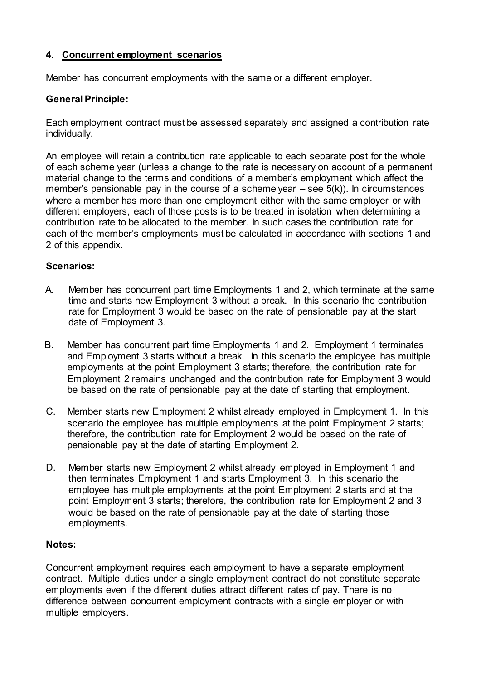## **4. Concurrent employment scenarios**

Member has concurrent employments with the same or a different employer.

#### **General Principle:**

 Each employment contract must be assessed separately and assigned a contribution rate individually.

 An employee will retain a contribution rate applicable to each separate post for the whole of each scheme year (unless a change to the rate is necessary on account of a permanent material change to the terms and conditions of a member's employment which affect the member's pensionable pay in the course of a scheme year – see 5(k)). In circumstances where a member has more than one employment either with the same employer or with different employers, each of those posts is to be treated in isolation when determining a each of the member's employments must be calculated in accordance with sections 1 and contribution rate to be allocated to the member. In such cases the contribution rate for 2 of this appendix.

#### **Scenarios:**

- A. Member has concurrent part time Employments 1 and 2, which terminate at the same time and starts new Employment 3 without a break. In this scenario the contribution rate for Employment 3 would be based on the rate of pensionable pay at the start date of Employment 3.
- B. Member has concurrent part time Employments 1 and 2. Employment 1 terminates and Employment 3 starts without a break. In this scenario the employee has multiple employments at the point Employment 3 starts; therefore, the contribution rate for Employment 2 remains unchanged and the contribution rate for Employment 3 would be based on the rate of pensionable pay at the date of starting that employment.
- C. Member starts new Employment 2 whilst already employed in Employment 1. In this pensionable pay at the date of starting Employment 2. scenario the employee has multiple employments at the point Employment 2 starts; therefore, the contribution rate for Employment 2 would be based on the rate of
- D. then terminates Employment 1 and starts Employment 3. In this scenario the employee has multiple employments at the point Employment 2 starts and at the point Employment 3 starts; therefore, the contribution rate for Employment 2 and 3 would be based on the rate of pensionable pay at the date of starting those Member starts new Employment 2 whilst already employed in Employment 1 and employments.

#### **Notes:**

 contract. Multiple duties under a single employment contract do not constitute separate employments even if the different duties attract different rates of pay. There is no difference between concurrent employment contracts with a single employer or with Concurrent employment requires each employment to have a separate employment multiple employers.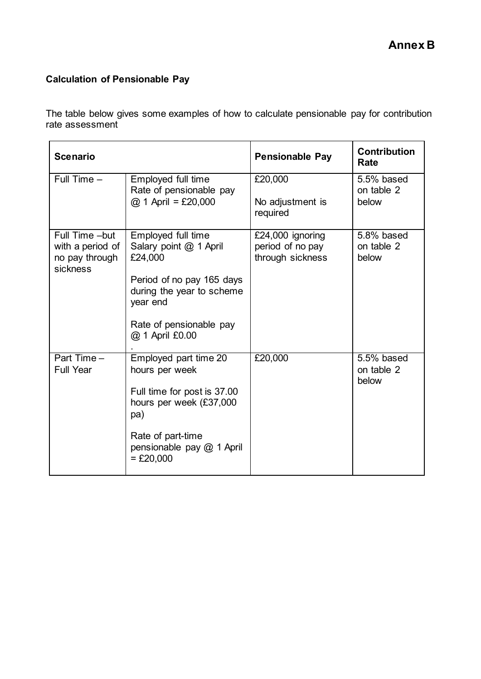# **Calculation of Pensionable Pay**

 The table below gives some examples of how to calculate pensionable pay for contribution rate assessment

| <b>Scenario</b>                                                  |                                                                                                                                                                             | <b>Pensionable Pay</b>                                   | <b>Contribution</b><br>Rate       |
|------------------------------------------------------------------|-----------------------------------------------------------------------------------------------------------------------------------------------------------------------------|----------------------------------------------------------|-----------------------------------|
| Full Time $-$                                                    | Employed full time<br>Rate of pensionable pay<br>$@ 1$ April = £20,000                                                                                                      | £20,000<br>No adjustment is<br>required                  | 5.5% based<br>on table 2<br>below |
| Full Time -but<br>with a period of<br>no pay through<br>sickness | Employed full time<br>Salary point @ 1 April<br>£24,000<br>Period of no pay 165 days<br>during the year to scheme<br>year end<br>Rate of pensionable pay<br>@ 1 April £0.00 | £24,000 ignoring<br>period of no pay<br>through sickness | 5.8% based<br>on table 2<br>below |
| Part Time -<br><b>Full Year</b>                                  | Employed part time 20<br>hours per week<br>Full time for post is 37.00<br>hours per week (£37,000<br>pa)<br>Rate of part-time<br>pensionable pay @ 1 April<br>$=$ £20,000   | £20,000                                                  | 5.5% based<br>on table 2<br>below |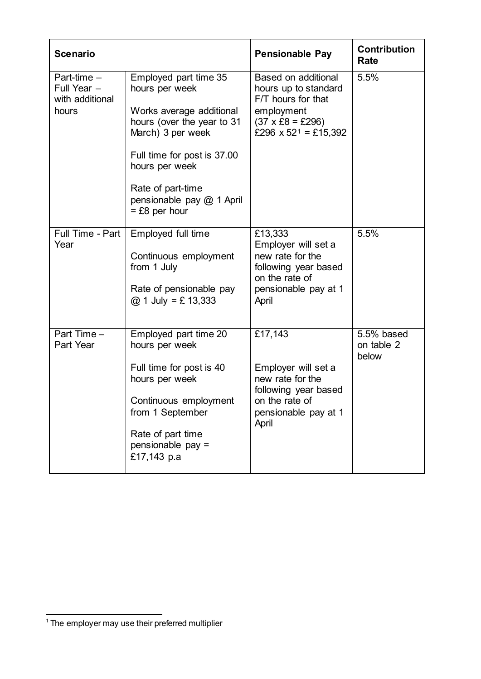| <b>Scenario</b>                                          |                                                                                                                                                                                                                                              | <b>Pensionable Pay</b>                                                                                                                                       | <b>Contribution</b><br>Rate       |
|----------------------------------------------------------|----------------------------------------------------------------------------------------------------------------------------------------------------------------------------------------------------------------------------------------------|--------------------------------------------------------------------------------------------------------------------------------------------------------------|-----------------------------------|
| Part-time $-$<br>Full Year -<br>with additional<br>hours | Employed part time 35<br>hours per week<br>Works average additional<br>hours (over the year to 31<br>March) 3 per week<br>Full time for post is 37.00<br>hours per week<br>Rate of part-time<br>pensionable pay @ 1 April<br>$=$ £8 per hour | <b>Based on additional</b><br>hours up to standard<br>F/T hours for that<br>employment<br>$(37 \times £8 = £296)$<br>£296 $\times$ 52 <sup>1</sup> = £15,392 | 5.5%                              |
| Full Time - Part<br>Year                                 | Employed full time<br>Continuous employment<br>from 1 July<br>Rate of pensionable pay<br>$@ 1$ July = £ 13,333                                                                                                                               | £13,333<br>Employer will set a<br>new rate for the<br>following year based<br>on the rate of<br>pensionable pay at 1<br>April                                | 5.5%                              |
| Part Time -<br>Part Year                                 | Employed part time 20<br>hours per week<br>Full time for post is 40<br>hours per week<br>Continuous employment<br>from 1 September<br>Rate of part time<br>pensionable pay =<br>£17,143 p.a                                                  | £17,143<br>Employer will set a<br>new rate for the<br>following year based<br>on the rate of<br>pensionable pay at 1<br>April                                | 5.5% based<br>on table 2<br>below |

<span id="page-9-0"></span> $\overline{\phantom{a}}$  $1$  The employer may use their preferred multiplier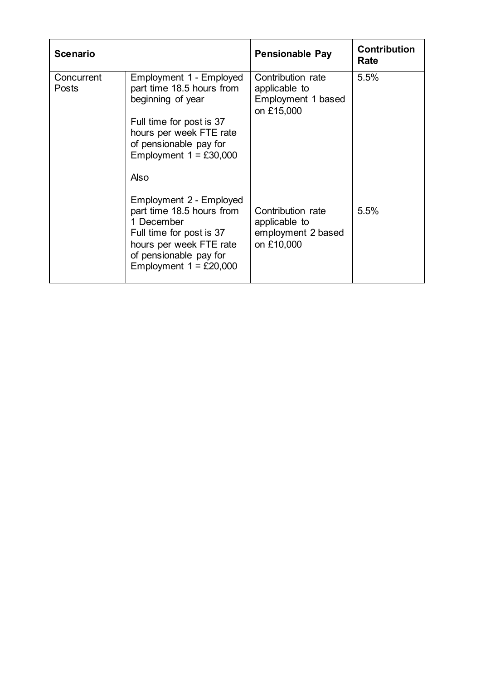| <b>Scenario</b>     |                                                                                                                                                                                         | <b>Pensionable Pay</b>                                                 | <b>Contribution</b><br>Rate |
|---------------------|-----------------------------------------------------------------------------------------------------------------------------------------------------------------------------------------|------------------------------------------------------------------------|-----------------------------|
| Concurrent<br>Posts | Employment 1 - Employed<br>part time 18.5 hours from<br>beginning of year<br>Full time for post is 37<br>hours per week FTE rate<br>of pensionable pay for<br>Employment $1 = £30,000$  | Contribution rate<br>applicable to<br>Employment 1 based<br>on £15,000 | 5.5%                        |
|                     | Also<br>Employment 2 - Employed<br>part time 18.5 hours from<br>1 December<br>Full time for post is 37<br>hours per week FTE rate<br>of pensionable pay for<br>Employment $1 = £20,000$ | Contribution rate<br>applicable to<br>employment 2 based<br>on £10,000 | 5.5%                        |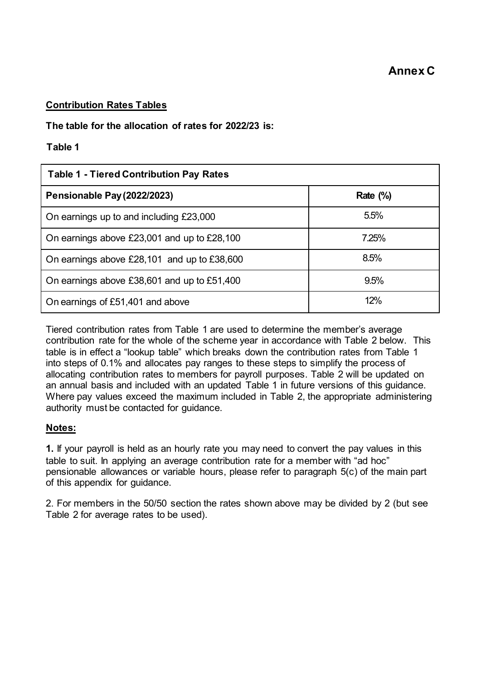#### **Contribution Rates Tables**

## **The table for the allocation of rates for 2022/23 is:**

#### **Table 1**

| <b>Table 1 - Tiered Contribution Pay Rates</b> |             |  |  |
|------------------------------------------------|-------------|--|--|
| <b>Pensionable Pay (2022/2023)</b>             | Rate $(\%)$ |  |  |
| On earnings up to and including £23,000        | 5.5%        |  |  |
| On earnings above £23,001 and up to £28,100    | 7.25%       |  |  |
| On earnings above £28,101 and up to £38,600    | 8.5%        |  |  |
| On earnings above £38,601 and up to £51,400    | 9.5%        |  |  |
| On earnings of £51,401 and above               | 12%         |  |  |

 Tiered contribution rates from Table 1 are used to determine the member's average contribution rate for the whole of the scheme year in accordance with Table 2 below. This table is in effect a "lookup table" which breaks down the contribution rates from Table 1 into steps of 0.1% and allocates pay ranges to these steps to simplify the process of allocating contribution rates to members for payroll purposes. Table 2 will be updated on an annual basis and included with an updated Table 1 in future versions of this guidance. authority must be contacted for guidance. Where pay values exceed the maximum included in Table 2, the appropriate administering

#### **Notes:**

 **1.** If your payroll is held as an hourly rate you may need to convert the pay values in this table to suit. In applying an average contribution rate for a member with "ad hoc" pensionable allowances or variable hours, please refer to paragraph 5(c) of the main part of this appendix for guidance.

 2. For members in the 50/50 section the rates shown above may be divided by 2 (but see Table 2 for average rates to be used).